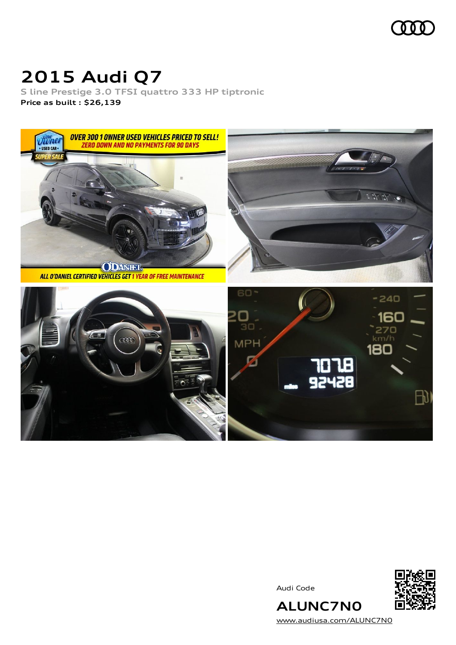

## **2015 Audi Q7**

**S line Prestige 3.0 TFSI quattro 333 HP tiptronic Price as built [:](#page-10-0) \$26,139**



Audi Code



[www.audiusa.com/ALUNC7N0](https://www.audiusa.com/ALUNC7N0)

**ALUNC7N0**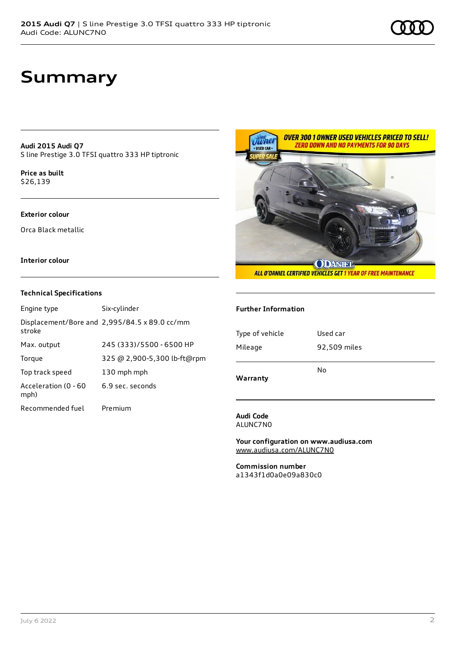## **Summary**

**Audi 2015 Audi Q7** S line Prestige 3.0 TFSI quattro 333 HP tiptronic

**Price as buil[t](#page-10-0)** \$26,139

### **Exterior colour**

Orca Black metallic

### **Interior colour**

#### **Technical Specifications**

| Engine type                  | Six-cylinder                                  |
|------------------------------|-----------------------------------------------|
| stroke                       | Displacement/Bore and 2,995/84.5 x 89.0 cc/mm |
| Max. output                  | 245 (333)/5500 - 6500 HP                      |
| Torque                       | 325 @ 2,900-5,300 lb-ft@rpm                   |
| Top track speed              | 130 mph mph                                   |
| Acceleration (0 - 60<br>mph) | 6.9 sec. seconds                              |
| Recommended fuel             | Premium                                       |



#### **Further Information**

| Type of vehicle | Used car     |
|-----------------|--------------|
| Mileage         | 92,509 miles |
|                 | No           |
| Warranty        |              |

#### **Audi Code** ALUNC7N0

**Your configuration on www.audiusa.com** [www.audiusa.com/ALUNC7N0](https://www.audiusa.com/ALUNC7N0)

**Commission number** a1343f1d0a0e09a830c0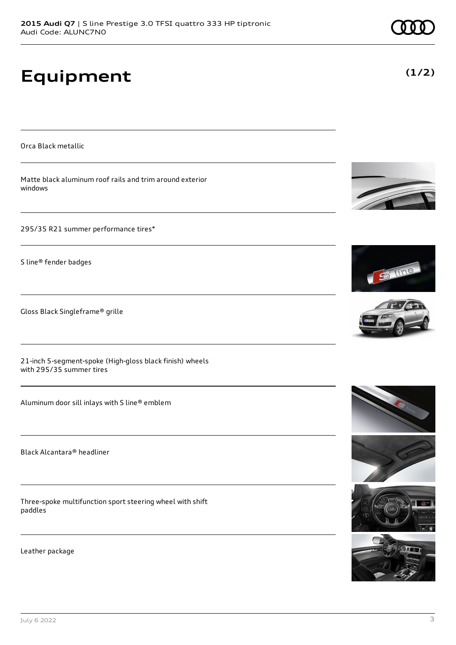# **Equipment**

Orca Black metallic

Matte black aluminum roof rails and trim around exterior windows

295/35 R21 summer performance tires\*

S line® fender badges

Gloss Black Singleframe® grille

21-inch 5-segment-spoke (High-gloss black finish) wheels with 295/35 summer tires

Aluminum door sill inlays with S line® emblem

Black Alcantara® headliner

Three-spoke multifunction sport steering wheel with shift paddles

Leather package





S line











**(1/2)**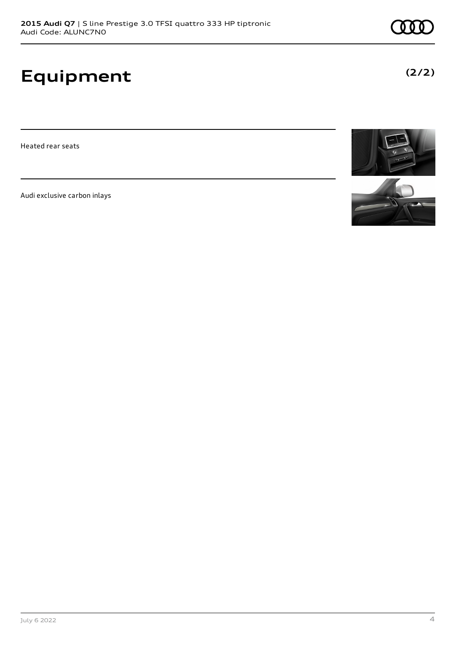# **Equipment**

Heated rear seats

Audi exclusive carbon inlays





**(2/2)**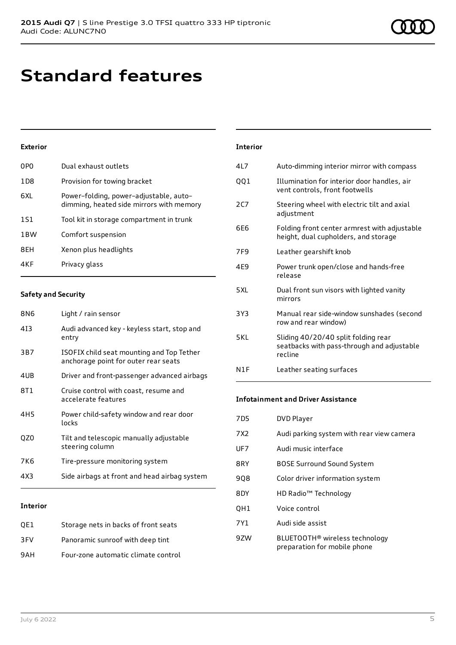# **Standard features**

### **Exterior**

| 0P <sub>0</sub> | Dual exhaust outlets                                                               |
|-----------------|------------------------------------------------------------------------------------|
| 1D <sub>8</sub> | Provision for towing bracket                                                       |
| 6XL             | Power-folding, power-adjustable, auto-<br>dimming, heated side mirrors with memory |
| 1S1             | Tool kit in storage compartment in trunk                                           |
| 1 <sub>BW</sub> | Comfort suspension                                                                 |
| 8EH             | Xenon plus headlights                                                              |
| 4KF             | Privacy glass                                                                      |

### **Safety and Security**

| 8N6             | Light / rain sensor                                                               |
|-----------------|-----------------------------------------------------------------------------------|
| 413             | Audi advanced key - keyless start, stop and<br>entry                              |
| 3B7             | ISOFIX child seat mounting and Top Tether<br>anchorage point for outer rear seats |
| 4UB             | Driver and front-passenger advanced airbags                                       |
| 8T1             | Cruise control with coast, resume and<br>accelerate features                      |
| 4H <sub>5</sub> | Power child-safety window and rear door<br>locks                                  |
| QZ0             | Tilt and telescopic manually adjustable<br>steering column                        |
| 7K6             | Tire-pressure monitoring system                                                   |
| 4X3             | Side airbags at front and head airbag system                                      |
|                 |                                                                                   |

### **Interior**

| OE1 | Storage nets in backs of front seats |
|-----|--------------------------------------|
| 3FV | Panoramic sunroof with deep tint     |
| 9AH | Four-zone automatic climate control  |

| <b>Interior</b> |                                                                                              |
|-----------------|----------------------------------------------------------------------------------------------|
| 417             | Auto-dimming interior mirror with compass                                                    |
| 001             | Illumination for interior door handles, air<br>vent controls, front footwells                |
| 2C              | Steering wheel with electric tilt and axial<br>adjustment                                    |
| 6F <sub>6</sub> | Folding front center armrest with adjustable<br>height, dual cupholders, and storage         |
| 7F9             | Leather gearshift knob                                                                       |
| 4F <sub>9</sub> | Power trunk open/close and hands-free<br>release                                             |
| 5 XI            | Dual front sun visors with lighted vanity<br>mirrors                                         |
| 3Y3             | Manual rear side-window sunshades (second<br>row and rear window)                            |
| 5KI             | Sliding 40/20/40 split folding rear<br>seatbacks with pass-through and adjustable<br>recline |
| N1F             | Leather seating surfaces                                                                     |

### **Infotainment and Driver Assistance**

| 7D5 | <b>DVD Player</b>                                                          |
|-----|----------------------------------------------------------------------------|
| 7X2 | Audi parking system with rear view camera                                  |
| UF7 | Audi music interface                                                       |
| 8RY | <b>BOSE Surround Sound System</b>                                          |
| 908 | Color driver information system                                            |
| 8DY | HD Radio <sup>™</sup> Technology                                           |
| QH1 | Voice control                                                              |
| 7Y1 | Audi side assist                                                           |
| 97W | BLUETOOTH <sup>®</sup> wireless technology<br>preparation for mobile phone |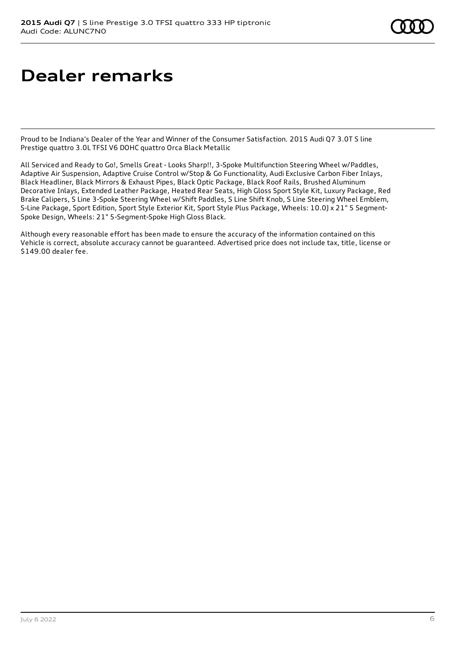# **Dealer remarks**

Proud to be Indiana's Dealer of the Year and Winner of the Consumer Satisfaction. 2015 Audi Q7 3.0T S line Prestige quattro 3.0L TFSI V6 DOHC quattro Orca Black Metallic

All Serviced and Ready to Go!, Smells Great - Looks Sharp!!, 3-Spoke Multifunction Steering Wheel w/Paddles, Adaptive Air Suspension, Adaptive Cruise Control w/Stop & Go Functionality, Audi Exclusive Carbon Fiber Inlays, Black Headliner, Black Mirrors & Exhaust Pipes, Black Optic Package, Black Roof Rails, Brushed Aluminum Decorative Inlays, Extended Leather Package, Heated Rear Seats, High Gloss Sport Style Kit, Luxury Package, Red Brake Calipers, S Line 3-Spoke Steering Wheel w/Shift Paddles, S Line Shift Knob, S Line Steering Wheel Emblem, S-Line Package, Sport Edition, Sport Style Exterior Kit, Sport Style Plus Package, Wheels: 10.0J x 21" 5 Segment-Spoke Design, Wheels: 21" 5-Segment-Spoke High Gloss Black.

Although every reasonable effort has been made to ensure the accuracy of the information contained on this Vehicle is correct, absolute accuracy cannot be guaranteed. Advertised price does not include tax, title, license or \$149.00 dealer fee.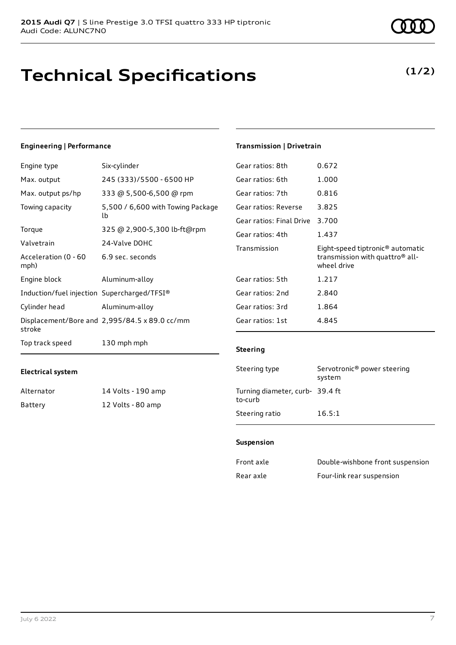# **Technical Specifications**

### **Engineering | Performance**

**Electrical system**

Alternator 14 Volts - 190 amp Battery 12 Volts - 80 amp

| Engine type                                 | Six-cylinder                                  |
|---------------------------------------------|-----------------------------------------------|
| Max. output                                 | 245 (333)/5500 - 6500 HP                      |
| Max. output ps/hp                           | 333 @ 5,500-6,500 @ rpm                       |
| Towing capacity                             | 5,500 / 6,600 with Towing Package<br>lb       |
| Torque                                      | 325 @ 2,900-5,300 lb-ft@rpm                   |
| Valvetrain                                  | 24-Valve DOHC                                 |
| Acceleration (0 - 60<br>mph)                | 6.9 sec. seconds                              |
| Engine block                                | Aluminum-alloy                                |
| Induction/fuel injection Supercharged/TFSI® |                                               |
| Cylinder head                               | Aluminum-alloy                                |
| stroke                                      | Displacement/Bore and 2,995/84.5 x 89.0 cc/mm |
| Top track speed                             | 130 mph mph                                   |

## Gear ratios: 8th 0.672 Gear ratios: 6th 1.000 Gear ratios: 7th 0.816 Gear ratios: Reverse 3.825 Gear ratios: Final Drive 3.700 Gear ratios: 4th 1.437 Transmission Eight-speed tiptronic® automatic transmission with quattro® allwheel drive Gear ratios: 5th 1.217 Gear ratios: 2nd 2.840 Gear ratios: 3rd 1.864 Gear ratios: 1st 4.845

**Transmission | Drivetrain**

#### **Steering**

| Steering type                             | Servotronic <sup>®</sup> power steering<br>system |
|-------------------------------------------|---------------------------------------------------|
| Turning diameter, curb-39.4 ft<br>to-curb |                                                   |
| Steering ratio                            | 16.5:1                                            |

#### **Suspension**

| Front axle | Double-wishbone front suspension |
|------------|----------------------------------|
| Rear axle  | Four-link rear suspension        |

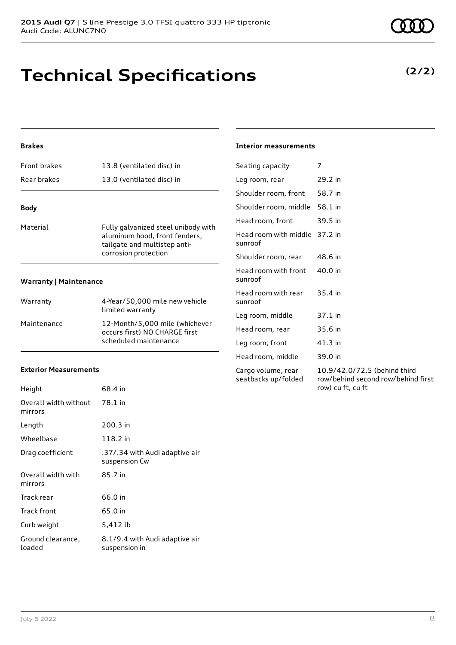Audi Code: ALUNC7N0

## **Technical Specifications**

**2015 Audi Q7** | S line Prestige 3.0 TFSI quattro 333 HP tiptronic

### **Brakes**

| <b>Front brakes</b>    | 13.8 (ventilated disc) in                                                                                                    |
|------------------------|------------------------------------------------------------------------------------------------------------------------------|
| Rear brakes            | 13.0 (ventilated disc) in                                                                                                    |
| <b>Body</b>            |                                                                                                                              |
| Material               | Fully galvanized steel unibody with<br>aluminum hood, front fenders,<br>tailgate and multistep anti-<br>corrosion protection |
| Warranty   Maintenance |                                                                                                                              |

#### **Warranty | Maintenance**

| Warranty    | 4-Year/50,000 mile new vehicle<br>limited warranty                                       |
|-------------|------------------------------------------------------------------------------------------|
| Maintenance | 12-Month/5.000 mile (whichever<br>occurs first) NO CHARGE first<br>scheduled maintenance |

### **Exterior Measurements**

| 68.4 in                                         |
|-------------------------------------------------|
| 78.1 in                                         |
| 200.3 in                                        |
| 118.2 in                                        |
| .37/.34 with Audi adaptive air<br>suspension Cw |
| 85.7 in                                         |
| 66.0 in                                         |
| 65.0 in                                         |
| 5,412 lb                                        |
| 8.1/9.4 with Audi adaptive air<br>suspension in |
|                                                 |

### **Interior measurements**

| Seating capacity                          | 7                                                                                       |
|-------------------------------------------|-----------------------------------------------------------------------------------------|
| Leg room, rear                            | 29.2 in                                                                                 |
| Shoulder room, front                      | 58.7 in                                                                                 |
| Shoulder room, middle                     | 58.1 in                                                                                 |
| Head room, front                          | 39.5 in                                                                                 |
| Head room with middle<br>sunroof          | 37.2 in                                                                                 |
| Shoulder room, rear                       | 48.6 in                                                                                 |
| Head room with front<br>sunroof           | 40.0 in                                                                                 |
| Head room with rear<br>sunroof            | 35.4 in                                                                                 |
| Leg room, middle                          | $37.1$ in                                                                               |
| Head room, rear                           | 35.6 in                                                                                 |
| Leg room, front                           | 41.3 in                                                                                 |
| Head room, middle                         | 39.0 in                                                                                 |
| Cargo volume, rear<br>seatbacks up/folded | 10.9/42.0/72.5 (behind third<br>row/behind second row/behind first<br>row) cu ft, cu ft |

**(2/2)**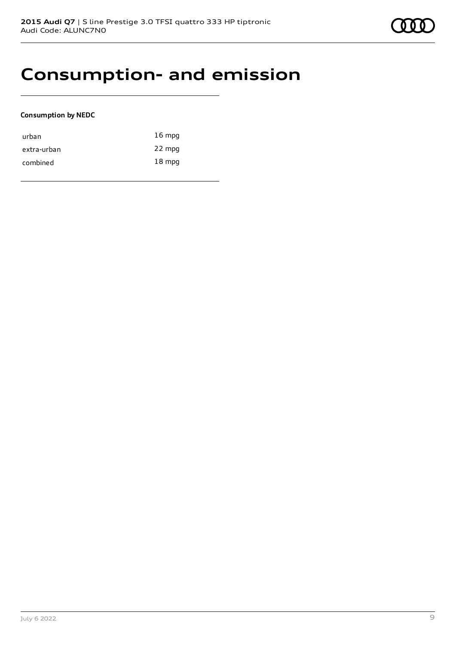

## **Consumption- and emission**

### **Consumption by NEDC**

| urban       | $16 \text{ mpg}$ |
|-------------|------------------|
| extra-urban | 22 mpg           |
| combined    | $18 \text{ mpg}$ |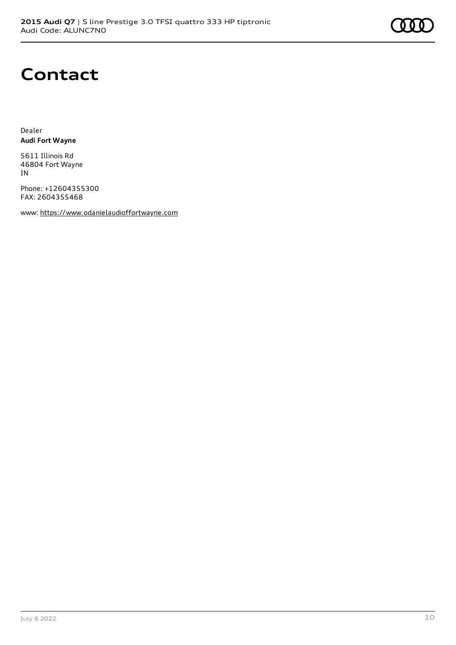

## **Contact**

Dealer **Audi Fort Wayne**

5611 Illinois Rd 46804 Fort Wayne IN

Phone: +12604355300 FAX: 2604355468

www: [https://www.odanielaudioffortwayne.com](https://www.odanielaudioffortwayne.com/)